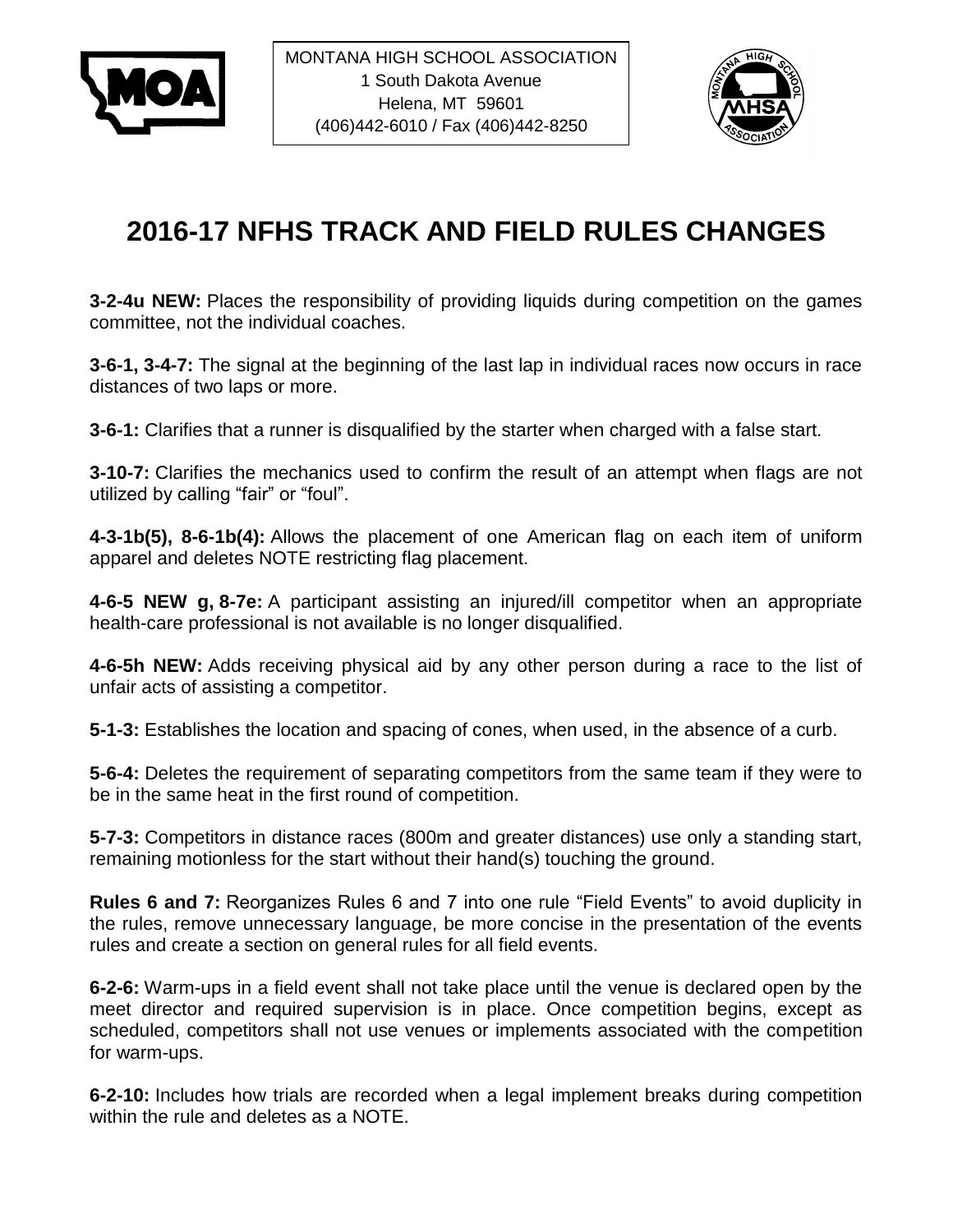



## **2016-17 NFHS TRACK AND FIELD RULES CHANGES**

**3-2-4u NEW:** Places the responsibility of providing liquids during competition on the games committee, not the individual coaches.

**3-6-1, 3-4-7:** The signal at the beginning of the last lap in individual races now occurs in race distances of two laps or more.

**3-6-1:** Clarifies that a runner is disqualified by the starter when charged with a false start.

**3-10-7:** Clarifies the mechanics used to confirm the result of an attempt when flags are not utilized by calling "fair" or "foul".

**4-3-1b(5), 8-6-1b(4):** Allows the placement of one American flag on each item of uniform apparel and deletes NOTE restricting flag placement.

**4-6-5 NEW g, 8-7e:** A participant assisting an injured/ill competitor when an appropriate health-care professional is not available is no longer disqualified.

**4-6-5h NEW:** Adds receiving physical aid by any other person during a race to the list of unfair acts of assisting a competitor.

**5-1-3:** Establishes the location and spacing of cones, when used, in the absence of a curb.

**5-6-4:** Deletes the requirement of separating competitors from the same team if they were to be in the same heat in the first round of competition.

**5-7-3:** Competitors in distance races (800m and greater distances) use only a standing start, remaining motionless for the start without their hand(s) touching the ground.

**Rules 6 and 7:** Reorganizes Rules 6 and 7 into one rule "Field Events" to avoid duplicity in the rules, remove unnecessary language, be more concise in the presentation of the events rules and create a section on general rules for all field events.

**6-2-6:** Warm-ups in a field event shall not take place until the venue is declared open by the meet director and required supervision is in place. Once competition begins, except as scheduled, competitors shall not use venues or implements associated with the competition for warm-ups.

**6-2-10:** Includes how trials are recorded when a legal implement breaks during competition within the rule and deletes as a NOTE.